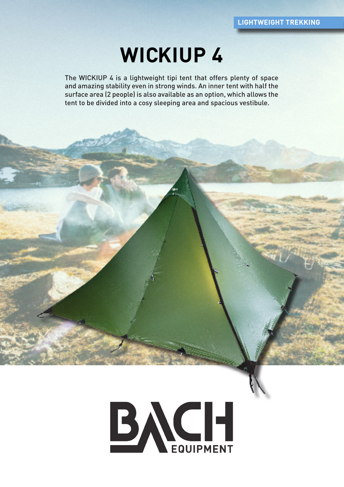# **WICKIUP 4**

The WICKIUP 4 is a lightweight tipi tent that offers plenty of space and amazing stability even in strong winds. An inner tent with half the surface area (2 people) is also available as an option, which allows the tent to be divided into a cosy sleeping area and spacious vestibule.